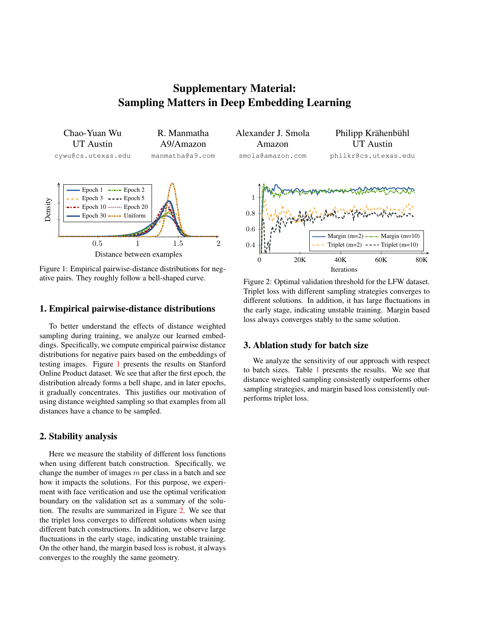Supplementary Material: Sampling Matters in Deep Embedding Learning

<span id="page-0-0"></span>Chao-Yuan Wu UT Austin cywu@cs.utexas.edu R. Manmatha A9/Amazon manmatha@a9.com 0.5 1 1.5 2 Distance between examples Density Epoch  $1 \longrightarrow$  Epoch  $2$ Epoch  $3 \rightarrow -$  Epoch  $5$ Epoch 10 ········ Epoch 20 Epoch  $30$   $\longrightarrow$  Uniform

Figure 1: Empirical pairwise-distance distributions for negative pairs. They roughly follow a bell-shaped curve.

## 1. Empirical pairwise-distance distributions

To better understand the effects of distance weighted sampling during training, we analyze our learned embeddings. Specifically, we compute empirical pairwise distance distributions for negative pairs based on the embeddings of testing images. Figure [1](#page-0-0) presents the results on Stanford Online Product dataset. We see that after the first epoch, the distribution already forms a bell shape, and in later epochs, it gradually concentrates. This justifies our motivation of using distance weighted sampling so that examples from all distances have a chance to be sampled.

## 2. Stability analysis

Here we measure the stability of different loss functions when using different batch construction. Specifically, we change the number of images  $m$  per class in a batch and see how it impacts the solutions. For this purpose, we experiment with face verification and use the optimal verification boundary on the validation set as a summary of the solution. The results are summarized in Figure [2.](#page-0-1) We see that the triplet loss converges to different solutions when using different batch constructions. In addition, we observe large fluctuations in the early stage, indicating unstable training. On the other hand, the margin based loss is robust, it always converges to the roughly the same geometry.

Alexander J. Smola Amazon smola@amazon.com



<span id="page-0-1"></span>

Figure 2: Optimal validation threshold for the LFW dataset. Triplet loss with different sampling strategies converges to different solutions. In addition, it has large fluctuations in the early stage, indicating unstable training. Margin based loss always converges stably to the same solution.

## 3. Ablation study for batch size

We analyze the sensitivity of our approach with respect to batch sizes. Table [1](#page-1-0) presents the results. We see that distance weighted sampling consistently outperforms other sampling strategies, and margin based loss consistently outperforms triplet loss.